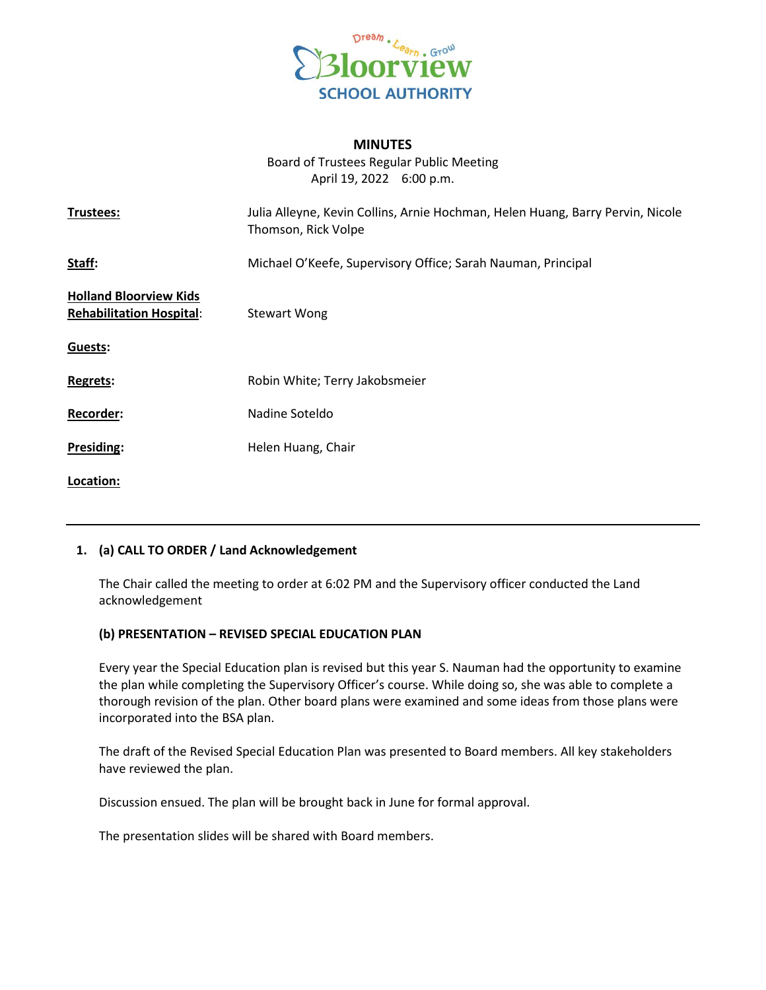

## **MINUTES**

Board of Trustees Regular Public Meeting April 19, 2022 6:00 p.m.

| Trustees:                                                        | Julia Alleyne, Kevin Collins, Arnie Hochman, Helen Huang, Barry Pervin, Nicole<br>Thomson, Rick Volpe |
|------------------------------------------------------------------|-------------------------------------------------------------------------------------------------------|
| Staff:                                                           | Michael O'Keefe, Supervisory Office; Sarah Nauman, Principal                                          |
| <b>Holland Bloorview Kids</b><br><b>Rehabilitation Hospital:</b> | <b>Stewart Wong</b>                                                                                   |
| Guests:                                                          |                                                                                                       |
| <b>Regrets:</b>                                                  | Robin White; Terry Jakobsmeier                                                                        |
| Recorder:                                                        | Nadine Soteldo                                                                                        |
| Presiding:                                                       | Helen Huang, Chair                                                                                    |
| Location:                                                        |                                                                                                       |

# **1. (a) CALL TO ORDER / Land Acknowledgement**

The Chair called the meeting to order at 6:02 PM and the Supervisory officer conducted the Land acknowledgement

# **(b) PRESENTATION – REVISED SPECIAL EDUCATION PLAN**

Every year the Special Education plan is revised but this year S. Nauman had the opportunity to examine the plan while completing the Supervisory Officer's course. While doing so, she was able to complete a thorough revision of the plan. Other board plans were examined and some ideas from those plans were incorporated into the BSA plan.

The draft of the Revised Special Education Plan was presented to Board members. All key stakeholders have reviewed the plan.

Discussion ensued. The plan will be brought back in June for formal approval.

The presentation slides will be shared with Board members.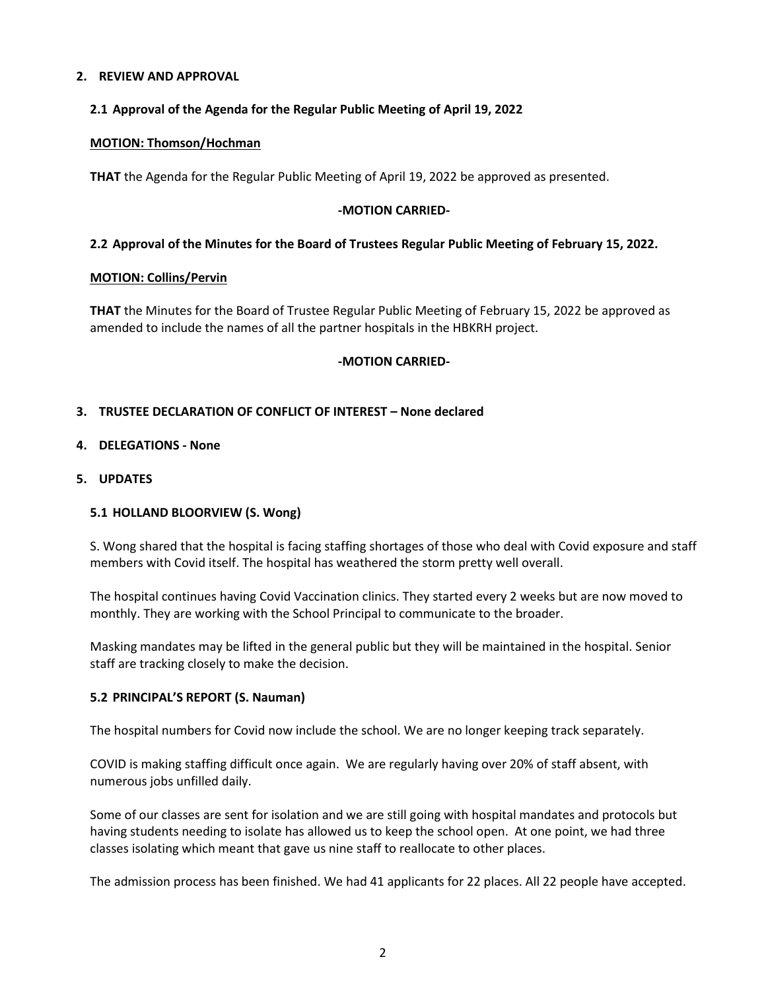# **2. REVIEW AND APPROVAL**

## **2.1 Approval of the Agenda for the Regular Public Meeting of April 19, 2022**

#### **MOTION: Thomson/Hochman**

**THAT** the Agenda for the Regular Public Meeting of April 19, 2022 be approved as presented.

#### **-MOTION CARRIED-**

### **2.2 Approval of the Minutes for the Board of Trustees Regular Public Meeting of February 15, 2022.**

#### **MOTION: Collins/Pervin**

**THAT** the Minutes for the Board of Trustee Regular Public Meeting of February 15, 2022 be approved as amended to include the names of all the partner hospitals in the HBKRH project.

### **-MOTION CARRIED-**

### **3. TRUSTEE DECLARATION OF CONFLICT OF INTEREST – None declared**

### **4. DELEGATIONS - None**

#### **5. UPDATES**

# **5.1 HOLLAND BLOORVIEW (S. Wong)**

S. Wong shared that the hospital is facing staffing shortages of those who deal with Covid exposure and staff members with Covid itself. The hospital has weathered the storm pretty well overall.

The hospital continues having Covid Vaccination clinics. They started every 2 weeks but are now moved to monthly. They are working with the School Principal to communicate to the broader.

Masking mandates may be lifted in the general public but they will be maintained in the hospital. Senior staff are tracking closely to make the decision.

#### **5.2 PRINCIPAL'S REPORT (S. Nauman)**

The hospital numbers for Covid now include the school. We are no longer keeping track separately.

COVID is making staffing difficult once again. We are regularly having over 20% of staff absent, with numerous jobs unfilled daily.

Some of our classes are sent for isolation and we are still going with hospital mandates and protocols but having students needing to isolate has allowed us to keep the school open. At one point, we had three classes isolating which meant that gave us nine staff to reallocate to other places.

The admission process has been finished. We had 41 applicants for 22 places. All 22 people have accepted.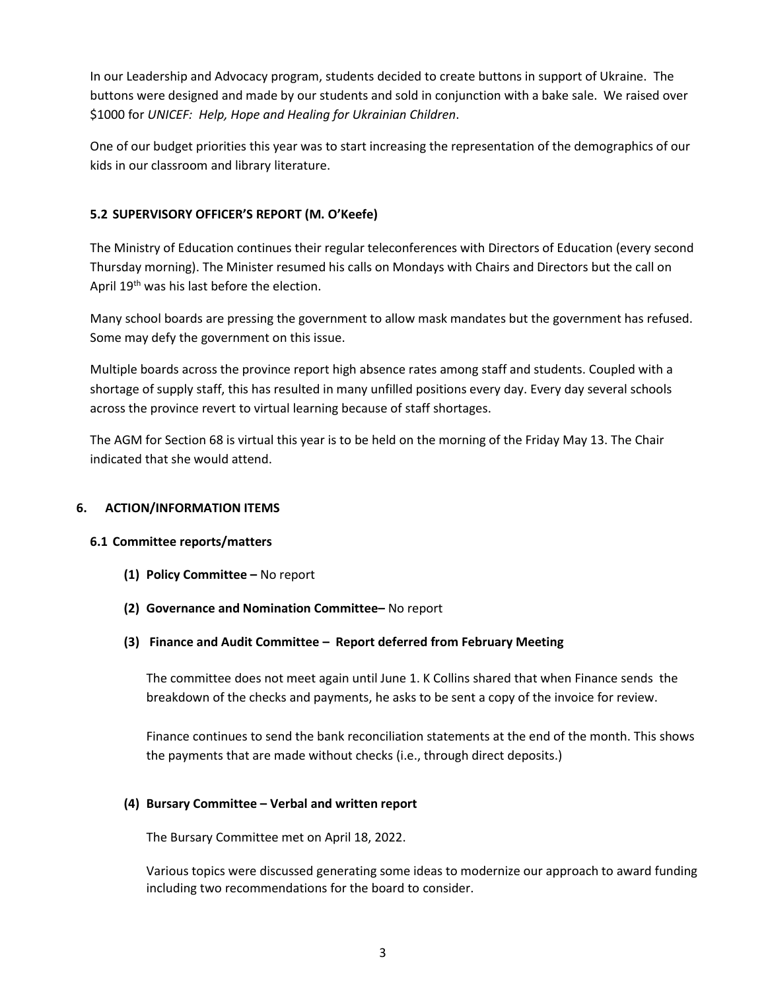In our Leadership and Advocacy program, students decided to create buttons in support of Ukraine. The buttons were designed and made by our students and sold in conjunction with a bake sale. We raised over \$1000 for *UNICEF: Help, Hope and Healing for Ukrainian Children*.

One of our budget priorities this year was to start increasing the representation of the demographics of our kids in our classroom and library literature.

# **5.2 SUPERVISORY OFFICER'S REPORT (M. O'Keefe)**

The Ministry of Education continues their regular teleconferences with Directors of Education (every second Thursday morning). The Minister resumed his calls on Mondays with Chairs and Directors but the call on April 19<sup>th</sup> was his last before the election.

Many school boards are pressing the government to allow mask mandates but the government has refused. Some may defy the government on this issue.

Multiple boards across the province report high absence rates among staff and students. Coupled with a shortage of supply staff, this has resulted in many unfilled positions every day. Every day several schools across the province revert to virtual learning because of staff shortages.

The AGM for Section 68 is virtual this year is to be held on the morning of the Friday May 13. The Chair indicated that she would attend.

# **6. ACTION/INFORMATION ITEMS**

# **6.1 Committee reports/matters**

- **(1) Policy Committee –** No report
- **(2) Governance and Nomination Committee–** No report
- **(3) Finance and Audit Committee – Report deferred from February Meeting**

The committee does not meet again until June 1. K Collins shared that when Finance sends the breakdown of the checks and payments, he asks to be sent a copy of the invoice for review.

Finance continues to send the bank reconciliation statements at the end of the month. This shows the payments that are made without checks (i.e., through direct deposits.)

# **(4) Bursary Committee – Verbal and written report**

The Bursary Committee met on April 18, 2022.

Various topics were discussed generating some ideas to modernize our approach to award funding including two recommendations for the board to consider.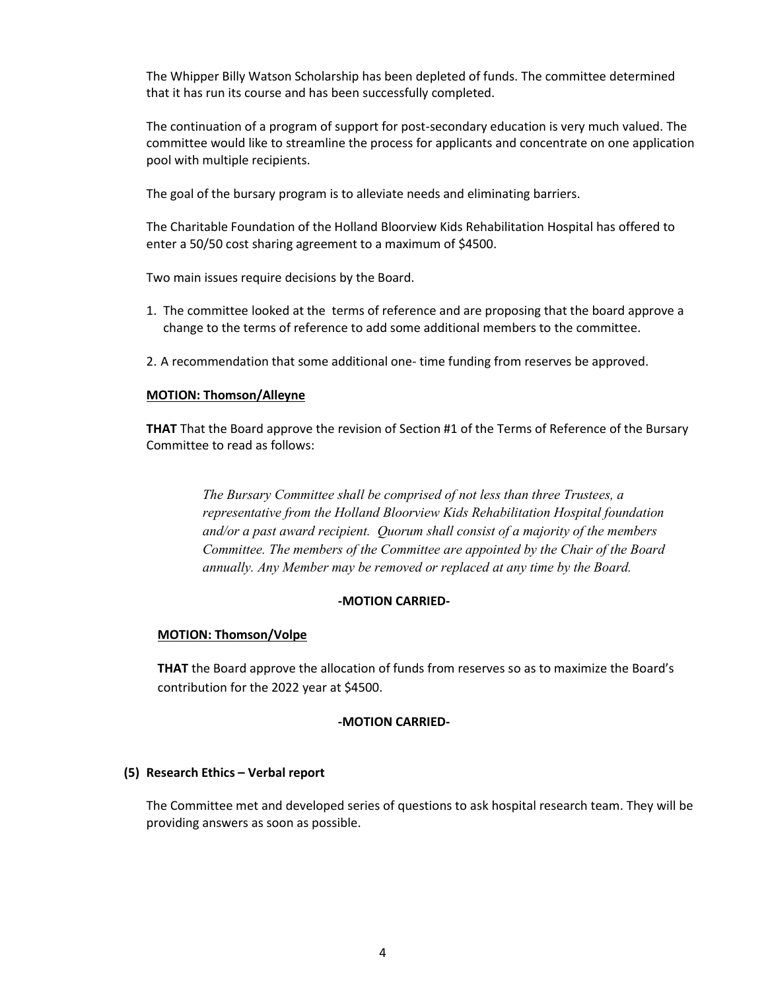The Whipper Billy Watson Scholarship has been depleted of funds. The committee determined that it has run its course and has been successfully completed.

The continuation of a program of support for post-secondary education is very much valued. The committee would like to streamline the process for applicants and concentrate on one application pool with multiple recipients.

The goal of the bursary program is to alleviate needs and eliminating barriers.

The Charitable Foundation of the Holland Bloorview Kids Rehabilitation Hospital has offered to enter a 50/50 cost sharing agreement to a maximum of \$4500.

Two main issues require decisions by the Board.

- 1. The committee looked at the terms of reference and are proposing that the board approve a change to the terms of reference to add some additional members to the committee.
- 2. A recommendation that some additional one- time funding from reserves be approved.

### **MOTION: Thomson/Alleyne**

**THAT** That the Board approve the revision of Section #1 of the Terms of Reference of the Bursary Committee to read as follows:

> *The Bursary Committee shall be comprised of not less than three Trustees, a representative from the Holland Bloorview Kids Rehabilitation Hospital foundation and/or a past award recipient. Quorum shall consist of a majority of the members Committee. The members of the Committee are appointed by the Chair of the Board annually. Any Member may be removed or replaced at any time by the Board.*

#### **-MOTION CARRIED-**

#### **MOTION: Thomson/Volpe**

**THAT** the Board approve the allocation of funds from reserves so as to maximize the Board's contribution for the 2022 year at \$4500.

# **-MOTION CARRIED-**

#### **(5) Research Ethics – Verbal report**

The Committee met and developed series of questions to ask hospital research team. They will be providing answers as soon as possible.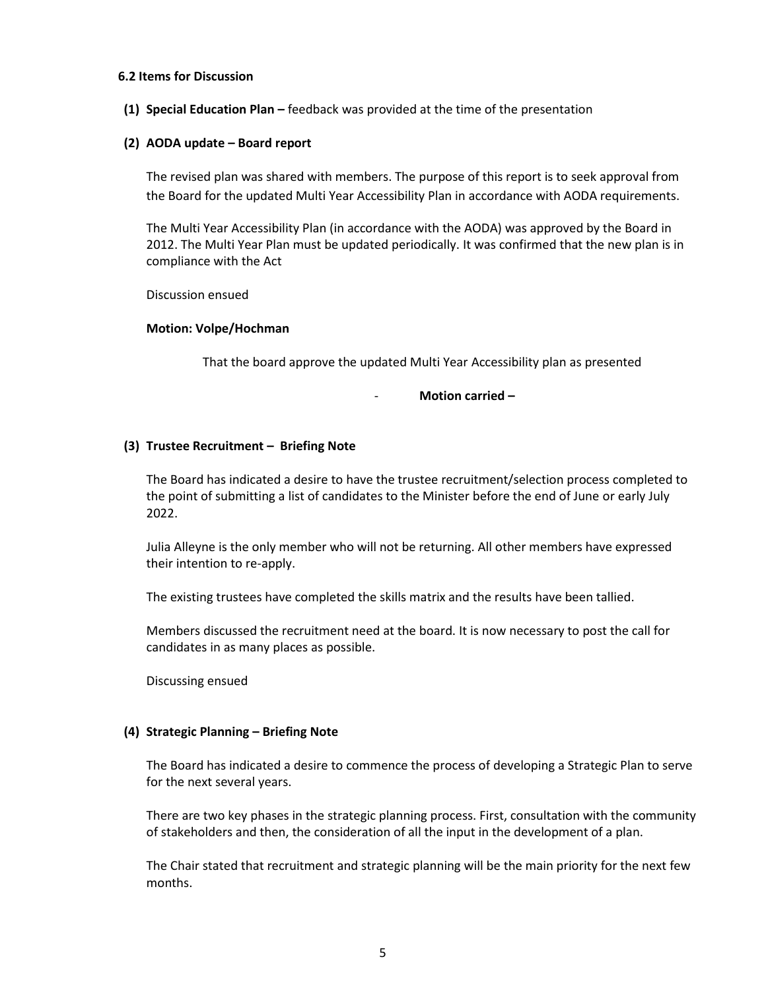#### **6.2 Items for Discussion**

**(1) Special Education Plan –** feedback was provided at the time of the presentation

#### **(2) AODA update – Board report**

The revised plan was shared with members. The purpose of this report is to seek approval from the Board for the updated Multi Year Accessibility Plan in accordance with AODA requirements.

The Multi Year Accessibility Plan (in accordance with the AODA) was approved by the Board in 2012. The Multi Year Plan must be updated periodically. It was confirmed that the new plan is in compliance with the Act

Discussion ensued

#### **Motion: Volpe/Hochman**

That the board approve the updated Multi Year Accessibility plan as presented

- **Motion carried –**

### **(3) Trustee Recruitment – Briefing Note**

The Board has indicated a desire to have the trustee recruitment/selection process completed to the point of submitting a list of candidates to the Minister before the end of June or early July 2022.

Julia Alleyne is the only member who will not be returning. All other members have expressed their intention to re-apply.

The existing trustees have completed the skills matrix and the results have been tallied.

Members discussed the recruitment need at the board. It is now necessary to post the call for candidates in as many places as possible.

Discussing ensued

#### **(4) Strategic Planning – Briefing Note**

The Board has indicated a desire to commence the process of developing a Strategic Plan to serve for the next several years.

There are two key phases in the strategic planning process. First, consultation with the community of stakeholders and then, the consideration of all the input in the development of a plan.

The Chair stated that recruitment and strategic planning will be the main priority for the next few months.